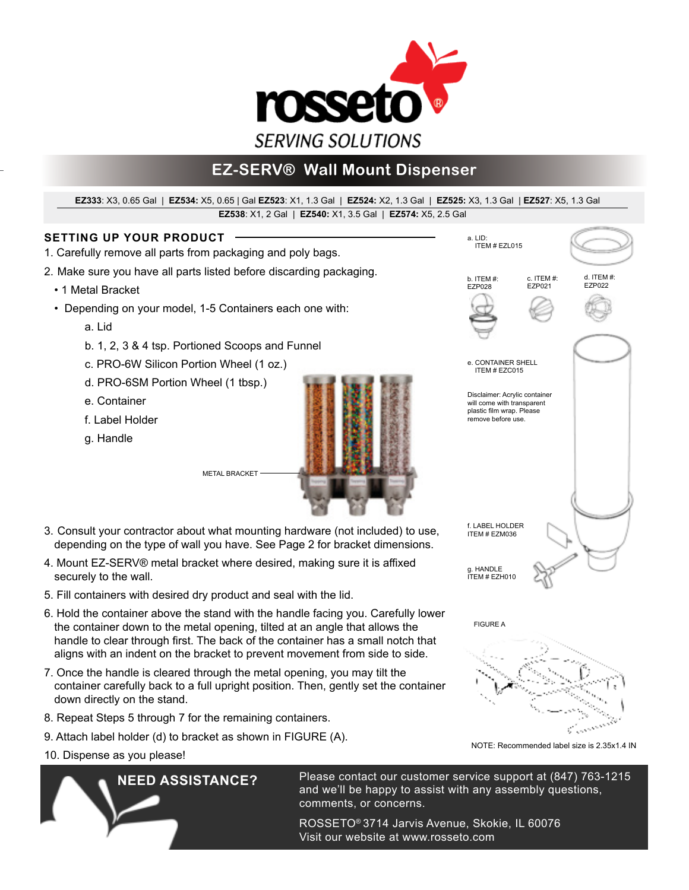

# **EZ-SERV® Wall Mount Dispenser**

#### **EZ538**: X1, 2 Gal | **EZ540:** X1, 3.5 Gal | **EZ574:** X5, 2.5 Gal **EZ333**: X3, 0.65 Gal | **EZ534:** X5, 0.65 | Gal **EZ523**: X1, 1.3 Gal | **EZ524:** X2, 1.3 Gal | **EZ525:** X3, 1.3 Gal | **EZ527**: X5, 1.3 Gal

### **SETTING UP YOUR PRODUCT**

- 1. Carefully remove all parts from packaging and poly bags.
- 2. Make sure you have all parts listed before discarding packaging.
	- 1 Metal Bracket
	- Depending on your model, 1-5 Containers each one with:
		- a. Lid
		- b. 1, 2, 3 & 4 tsp. Portioned Scoops and Funnel
		- c. PRO-6W Silicon Portion Wheel (1 oz.)
		- d. PRO-6SM Portion Wheel (1 tbsp.)
		- e. Container
		- f. Label Holder
		- g. Handle
- 3. Consult your contractor about what mounting hardware (not included) to use, depending on the type of wall you have. See Page 2 for bracket dimensions.
- 4. Mount EZ-SERV® metal bracket where desired, making sure it is affixed securely to the wall.

METAL BRACKET

- 5. Fill containers with desired dry product and seal with the lid.
- 6. Hold the container above the stand with the handle facing you. Carefully lower the container down to the metal opening, tilted at an angle that allows the handle to clear through first. The back of the container has a small notch that aligns with an indent on the bracket to prevent movement from side to side.
- 7. Once the handle is cleared through the metal opening, you may tilt the container carefully back to a full upright position. Then, gently set the container down directly on the stand.
- 8. Repeat Steps 5 through 7 for the remaining containers.
- 9. Attach label holder (d) to bracket as shown in FIGURE (A).
- 10. Dispense as you please!

**NEED ASSISTANCE?** Please contact our customer service support at (847) 763-1215 and we'll be happy to assist with any assembly questions, comments, or concerns.

> ROSSETO® 3714 Jarvis Avenue, Skokie, IL 60076 Visit our website at www.rosseto.com



NOTE: Recommended label size is 2.35x1.4 IN